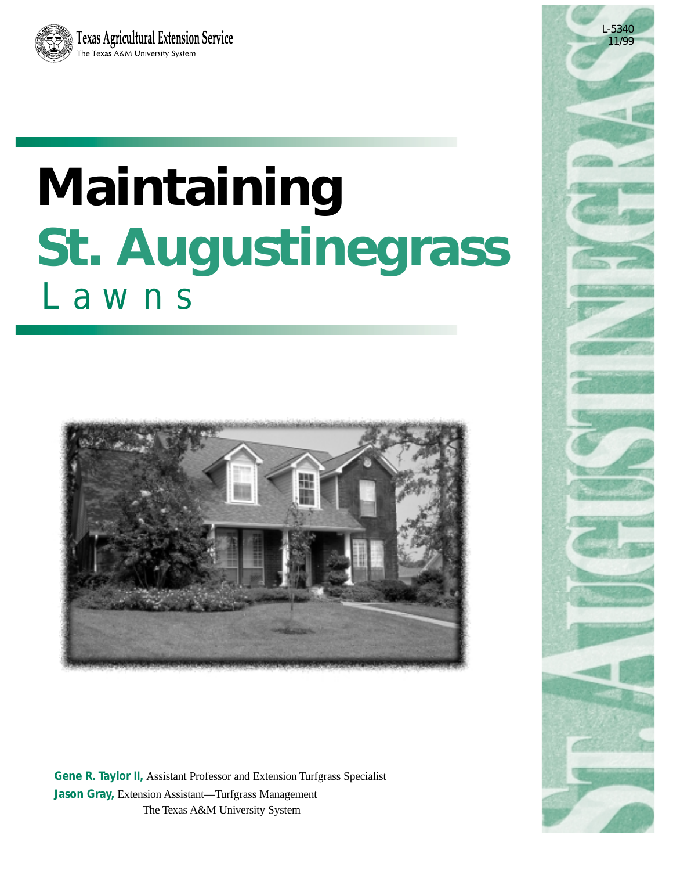

# **Maintaining St. Augustinegrass** Lawns



**Gene R. Taylor II,** Assistant Professor and Extension Turfgrass Specialist **Jason Gray,** Extension Assistant—Turfgrass Management The Texas A&M University System

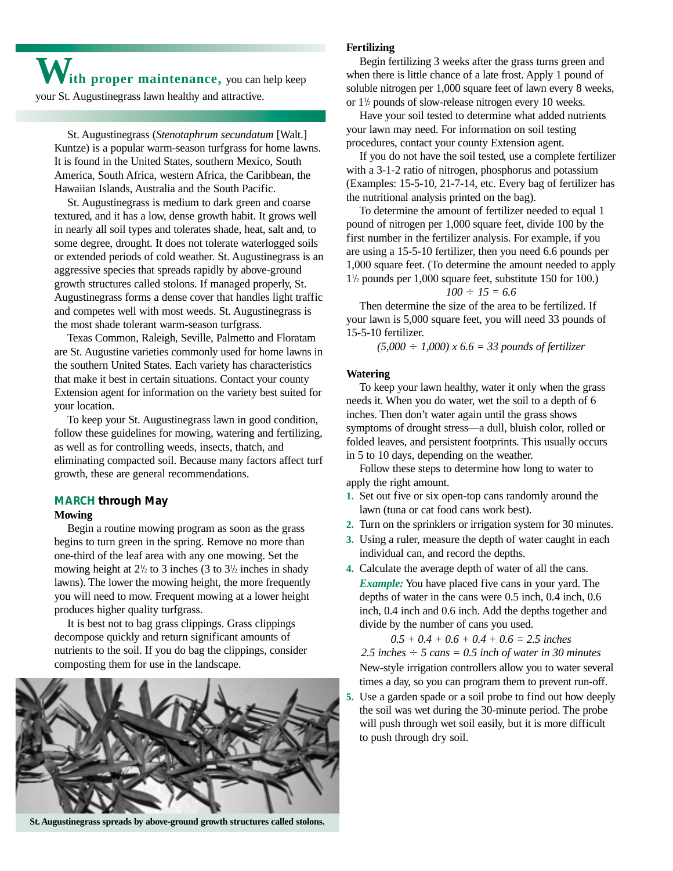**With proper maintenance,** you can help keep your St. Augustinegrass lawn healthy and attractive.

St. Augustinegrass (*Stenotaphrum secundatum* [Walt.] Kuntze) is a popular warm-season turfgrass for home lawns. It is found in the United States, southern Mexico, South America, South Africa, western Africa, the Caribbean, the Hawaiian Islands, Australia and the South Pacific.

St. Augustinegrass is medium to dark green and coarse textured, and it has a low, dense growth habit. It grows well in nearly all soil types and tolerates shade, heat, salt and, to some degree, drought. It does not tolerate waterlogged soils or extended periods of cold weather. St. Augustinegrass is an aggressive species that spreads rapidly by above-ground growth structures called stolons. If managed properly, St. Augustinegrass forms a dense cover that handles light traffic and competes well with most weeds. St. Augustinegrass is the most shade tolerant warm-season turfgrass.

Texas Common, Raleigh, Seville, Palmetto and Floratam are St. Augustine varieties commonly used for home lawns in the southern United States. Each variety has characteristics that make it best in certain situations. Contact your county Extension agent for information on the variety best suited for your location.

To keep your St. Augustinegrass lawn in good condition, follow these guidelines for mowing, watering and fertilizing, as well as for controlling weeds, insects, thatch, and eliminating compacted soil. Because many factors affect turf growth, these are general recommendations.

#### **MARCH through May**

#### **Mowing**

Begin a routine mowing program as soon as the grass begins to turn green in the spring. Remove no more than one-third of the leaf area with any one mowing. Set the mowing height at  $2\frac{1}{2}$  to 3 inches (3 to  $3\frac{1}{2}$  inches in shady lawns). The lower the mowing height, the more frequently you will need to mow. Frequent mowing at a lower height produces higher quality turfgrass.

It is best not to bag grass clippings. Grass clippings decompose quickly and return significant amounts of nutrients to the soil. If you do bag the clippings, consider composting them for use in the landscape.



**St. Augustinegrass spreads by above-ground growth structures called stolons.**

#### **Fertilizing**

Begin fertilizing 3 weeks after the grass turns green and when there is little chance of a late frost. Apply 1 pound of soluble nitrogen per 1,000 square feet of lawn every 8 weeks, or  $1\frac{1}{2}$  pounds of slow-release nitrogen every 10 weeks.

Have your soil tested to determine what added nutrients your lawn may need. For information on soil testing procedures, contact your county Extension agent.

If you do not have the soil tested, use a complete fertilizer with a 3-1-2 ratio of nitrogen, phosphorus and potassium (Examples: 15-5-10, 21-7-14, etc. Every bag of fertilizer has the nutritional analysis printed on the bag).

To determine the amount of fertilizer needed to equal 1 pound of nitrogen per 1,000 square feet, divide 100 by the first number in the fertilizer analysis. For example, if you are using a 15-5-10 fertilizer, then you need 6.6 pounds per 1,000 square feet. (To determine the amount needed to apply 11 /2 pounds per 1,000 square feet, substitute 150 for 100.)

#### $100 \div 15 = 6.6$

Then determine the size of the area to be fertilized. If your lawn is 5,000 square feet, you will need 33 pounds of 15-5-10 fertilizer.

*(5,000* - *1,000) x 6.6 = 33 pounds of fertilizer*

#### **Watering**

To keep your lawn healthy, water it only when the grass needs it. When you do water, wet the soil to a depth of 6 inches. Then don't water again until the grass shows symptoms of drought stress—a dull, bluish color, rolled or folded leaves, and persistent footprints. This usually occurs in 5 to 10 days, depending on the weather.

Follow these steps to determine how long to water to apply the right amount.

- **1.** Set out five or six open-top cans randomly around the lawn (tuna or cat food cans work best).
- **2.** Turn on the sprinklers or irrigation system for 30 minutes.
- **3.** Using a ruler, measure the depth of water caught in each individual can, and record the depths.
- **4.** Calculate the average depth of water of all the cans. *Example:* You have placed five cans in your yard. The depths of water in the cans were 0.5 inch, 0.4 inch, 0.6 inch, 0.4 inch and 0.6 inch. Add the depths together and divide by the number of cans you used.

*0.5 + 0.4 + 0.6 + 0.4 + 0.6 = 2.5 inches*  $2.5$  inches  $\div$  5 cans  $= 0.5$  inch of water in 30 minutes New-style irrigation controllers allow you to water several times a day, so you can program them to prevent run-off.

**5.** Use a garden spade or a soil probe to find out how deeply the soil was wet during the 30-minute period. The probe will push through wet soil easily, but it is more difficult to push through dry soil.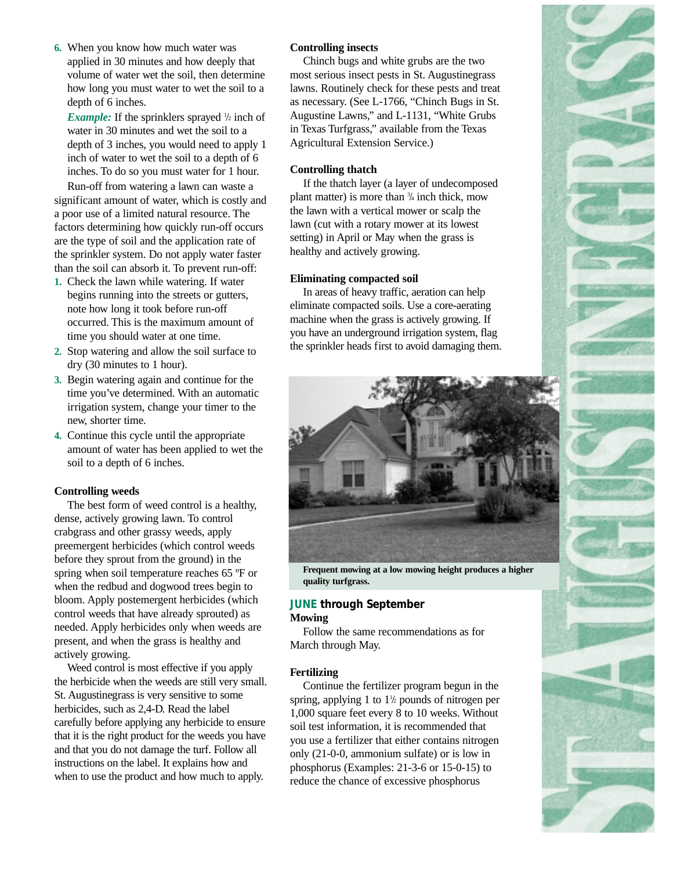**6.** When you know how much water was applied in 30 minutes and how deeply that volume of water wet the soil, then determine how long you must water to wet the soil to a depth of 6 inches.

*Example:* If the sprinklers sprayed  $\frac{1}{2}$  inch of water in 30 minutes and wet the soil to a depth of 3 inches, you would need to apply 1 inch of water to wet the soil to a depth of 6 inches. To do so you must water for 1 hour.

Run-off from watering a lawn can waste a significant amount of water, which is costly and a poor use of a limited natural resource. The factors determining how quickly run-off occurs are the type of soil and the application rate of the sprinkler system. Do not apply water faster than the soil can absorb it. To prevent run-off:

- **1.** Check the lawn while watering. If water begins running into the streets or gutters, note how long it took before run-off occurred. This is the maximum amount of time you should water at one time.
- **2.** Stop watering and allow the soil surface to dry (30 minutes to 1 hour).
- **3.** Begin watering again and continue for the time you've determined. With an automatic irrigation system, change your timer to the new, shorter time.
- **4.** Continue this cycle until the appropriate amount of water has been applied to wet the soil to a depth of 6 inches.

#### **Controlling weeds**

The best form of weed control is a healthy, dense, actively growing lawn. To control crabgrass and other grassy weeds, apply preemergent herbicides (which control weeds before they sprout from the ground) in the spring when soil temperature reaches 65 ºF or when the redbud and dogwood trees begin to bloom. Apply postemergent herbicides (which control weeds that have already sprouted) as needed. Apply herbicides only when weeds are present, and when the grass is healthy and actively growing.

Weed control is most effective if you apply the herbicide when the weeds are still very small. St. Augustinegrass is very sensitive to some herbicides, such as 2,4-D. Read the label carefully before applying any herbicide to ensure that it is the right product for the weeds you have and that you do not damage the turf. Follow all instructions on the label. It explains how and when to use the product and how much to apply.

#### **Controlling insects**

Chinch bugs and white grubs are the two most serious insect pests in St. Augustinegrass lawns. Routinely check for these pests and treat as necessary. (See L-1766, "Chinch Bugs in St. Augustine Lawns," and L-1131, "White Grubs in Texas Turfgrass," available from the Texas Agricultural Extension Service.)

### **Controlling thatch**

If the thatch layer (a layer of undecomposed plant matter) is more than  $\frac{3}{4}$  inch thick, mow the lawn with a vertical mower or scalp the lawn (cut with a rotary mower at its lowest setting) in April or May when the grass is healthy and actively growing.

#### **Eliminating compacted soil**

In areas of heavy traffic, aeration can help eliminate compacted soils. Use a core-aerating machine when the grass is actively growing. If you have an underground irrigation system, flag the sprinkler heads first to avoid damaging them.



**Frequent mowing at a low mowing height produces a higher quality turfgrass.**

#### **JUNE through September Mowing**

Follow the same recommendations as for March through May.

#### **Fertilizing**

Continue the fertilizer program begun in the spring, applying 1 to  $1\frac{1}{2}$  pounds of nitrogen per 1,000 square feet every 8 to 10 weeks. Without soil test information, it is recommended that you use a fertilizer that either contains nitrogen only (21-0-0, ammonium sulfate) or is low in phosphorus (Examples: 21-3-6 or 15-0-15) to reduce the chance of excessive phosphorus